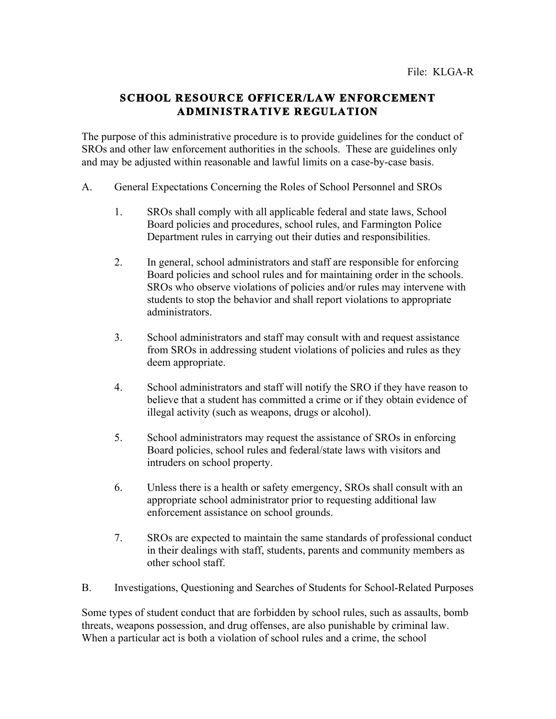## **SCHOOL RESOURCE OFFICER/LAW ENFORCEMENT ADMINISTRATIVE REGULATION**

The purpose of this administrative procedure is to provide guidelines for the conduct of SROs and other law enforcement authorities in the schools. These are guidelines only and may be adjusted within reasonable and lawful limits on a case-by-case basis.

- A. General Expectations Concerning the Roles of School Personnel and SROs
	- 1. SROs shall comply with all applicable federal and state laws, School Board policies and procedures, school rules, and Farmington Police Department rules in carrying out their duties and responsibilities.
	- 2. In general, school administrators and staff are responsible for enforcing Board policies and school rules and for maintaining order in the schools. SROs who observe violations of policies and/or rules may intervene with students to stop the behavior and shall report violations to appropriate administrators.
	- 3. School administrators and staff may consult with and request assistance from SROs in addressing student violations of policies and rules as they deem appropriate.
	- 4. School administrators and staff will notify the SRO if they have reason to believe that a student has committed a crime or if they obtain evidence of illegal activity (such as weapons, drugs or alcohol).
	- 5. School administrators may request the assistance of SROs in enforcing Board policies, school rules and federal/state laws with visitors and intruders on school property.
	- 6. Unless there is a health or safety emergency, SROs shall consult with an appropriate school administrator prior to requesting additional law enforcement assistance on school grounds.
	- 7. SROs are expected to maintain the same standards of professional conduct in their dealings with staff, students, parents and community members as other school staff.
- B. Investigations, Questioning and Searches of Students for School-Related Purposes

Some types of student conduct that are forbidden by school rules, such as assaults, bomb threats, weapons possession, and drug offenses, are also punishable by criminal law. When a particular act is both a violation of school rules and a crime, the school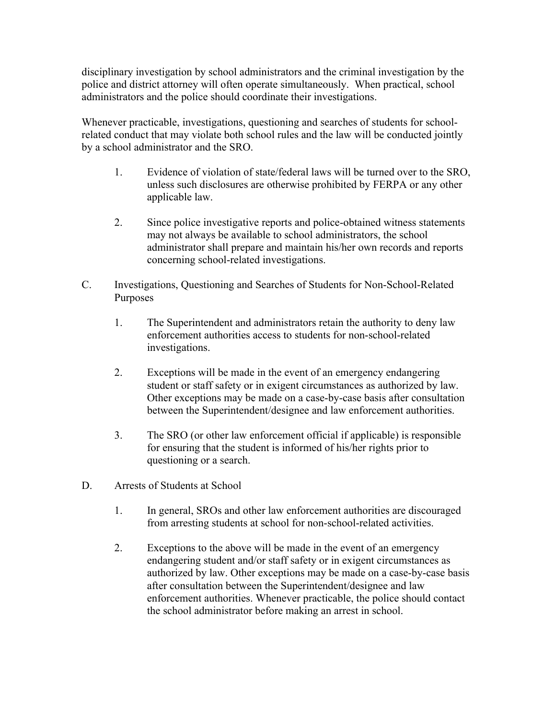disciplinary investigation by school administrators and the criminal investigation by the police and district attorney will often operate simultaneously. When practical, school administrators and the police should coordinate their investigations.

Whenever practicable, investigations, questioning and searches of students for schoolrelated conduct that may violate both school rules and the law will be conducted jointly by a school administrator and the SRO.

- 1. Evidence of violation of state/federal laws will be turned over to the SRO, unless such disclosures are otherwise prohibited by FERPA or any other applicable law.
- 2. Since police investigative reports and police-obtained witness statements may not always be available to school administrators, the school administrator shall prepare and maintain his/her own records and reports concerning school-related investigations.
- C. Investigations, Questioning and Searches of Students for Non-School-Related Purposes
	- 1. The Superintendent and administrators retain the authority to deny law enforcement authorities access to students for non-school-related investigations.
	- 2. Exceptions will be made in the event of an emergency endangering student or staff safety or in exigent circumstances as authorized by law. Other exceptions may be made on a case-by-case basis after consultation between the Superintendent/designee and law enforcement authorities.
	- 3. The SRO (or other law enforcement official if applicable) is responsible for ensuring that the student is informed of his/her rights prior to questioning or a search.
- D. Arrests of Students at School
	- 1. In general, SROs and other law enforcement authorities are discouraged from arresting students at school for non-school-related activities.
	- 2. Exceptions to the above will be made in the event of an emergency endangering student and/or staff safety or in exigent circumstances as authorized by law. Other exceptions may be made on a case-by-case basis after consultation between the Superintendent/designee and law enforcement authorities. Whenever practicable, the police should contact the school administrator before making an arrest in school.